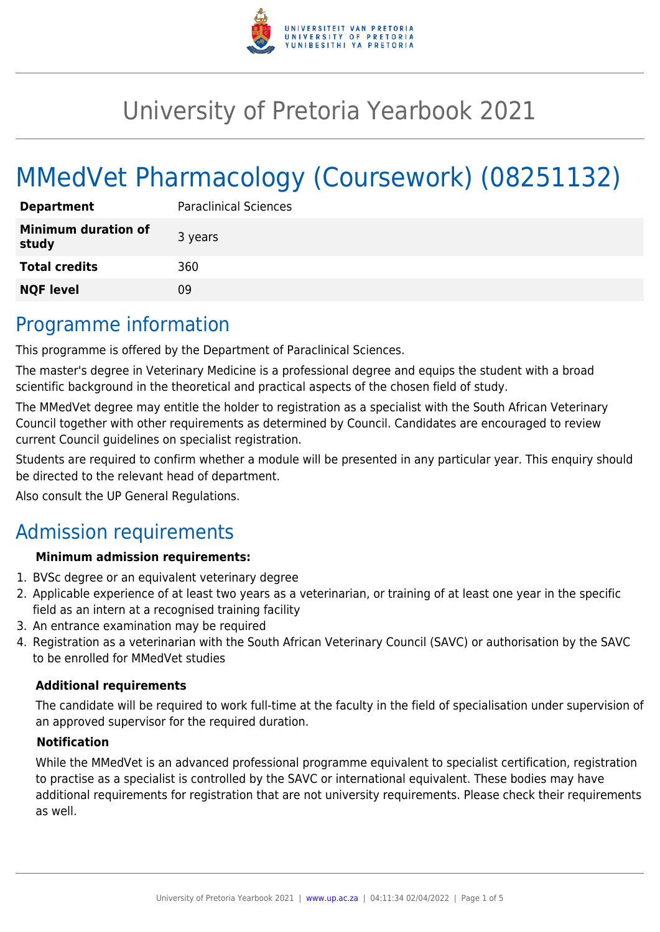

# University of Pretoria Yearbook 2021

# MMedVet Pharmacology (Coursework) (08251132)

| <b>Department</b>                   | <b>Paraclinical Sciences</b> |
|-------------------------------------|------------------------------|
| <b>Minimum duration of</b><br>study | 3 years                      |
| <b>Total credits</b>                | 360                          |
| <b>NQF level</b>                    | 09                           |

## Programme information

This programme is offered by the Department of Paraclinical Sciences.

The master's degree in Veterinary Medicine is a professional degree and equips the student with a broad scientific background in the theoretical and practical aspects of the chosen field of study.

The MMedVet degree may entitle the holder to registration as a specialist with the South African Veterinary Council together with other requirements as determined by Council. Candidates are encouraged to review current Council guidelines on specialist registration.

Students are required to confirm whether a module will be presented in any particular year. This enquiry should be directed to the relevant head of department.

Also consult the UP General Regulations.

# Admission requirements

#### **Minimum admission requirements:**

- 1. BVSc degree or an equivalent veterinary degree
- 2. Applicable experience of at least two years as a veterinarian, or training of at least one year in the specific field as an intern at a recognised training facility
- 3. An entrance examination may be required
- 4. Registration as a veterinarian with the South African Veterinary Council (SAVC) or authorisation by the SAVC to be enrolled for MMedVet studies

#### **Additional requirements**

The candidate will be required to work full-time at the faculty in the field of specialisation under supervision of an approved supervisor for the required duration.

#### **Notification**

While the MMedVet is an advanced professional programme equivalent to specialist certification, registration to practise as a specialist is controlled by the SAVC or international equivalent. These bodies may have additional requirements for registration that are not university requirements. Please check their requirements as well.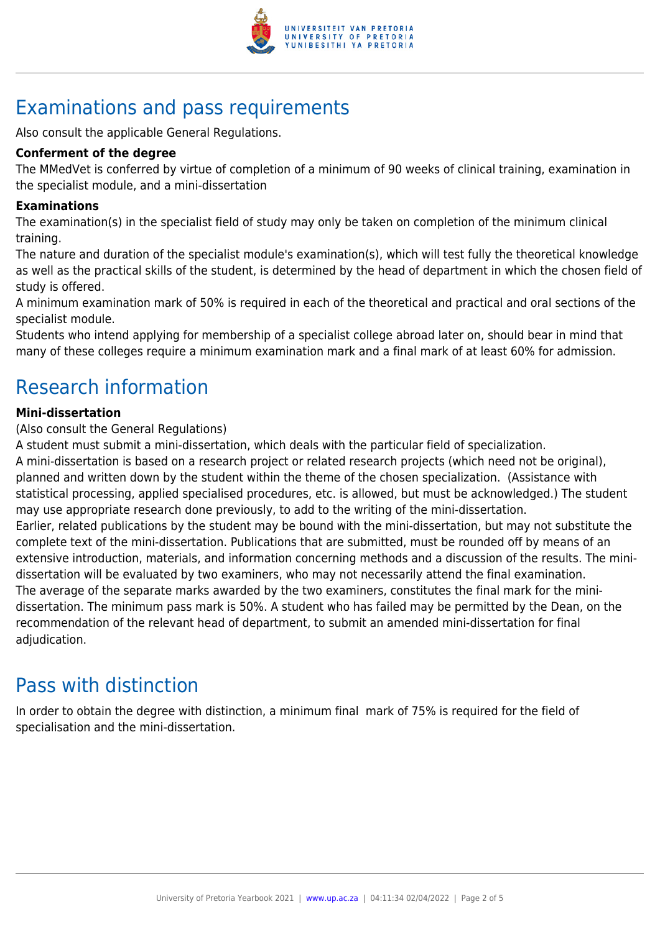

# Examinations and pass requirements

Also consult the applicable General Regulations.

#### **Conferment of the degree**

The MMedVet is conferred by virtue of completion of a minimum of 90 weeks of clinical training, examination in the specialist module, and a mini-dissertation

#### **Examinations**

The examination(s) in the specialist field of study may only be taken on completion of the minimum clinical training.

The nature and duration of the specialist module's examination(s), which will test fully the theoretical knowledge as well as the practical skills of the student, is determined by the head of department in which the chosen field of study is offered.

A minimum examination mark of 50% is required in each of the theoretical and practical and oral sections of the specialist module.

Students who intend applying for membership of a specialist college abroad later on, should bear in mind that many of these colleges require a minimum examination mark and a final mark of at least 60% for admission.

# Research information

#### **Mini-dissertation**

(Also consult the General Regulations)

A student must submit a mini-dissertation, which deals with the particular field of specialization.

A mini-dissertation is based on a research project or related research projects (which need not be original), planned and written down by the student within the theme of the chosen specialization. (Assistance with statistical processing, applied specialised procedures, etc. is allowed, but must be acknowledged.) The student may use appropriate research done previously, to add to the writing of the mini-dissertation. Earlier, related publications by the student may be bound with the mini-dissertation, but may not substitute the complete text of the mini-dissertation. Publications that are submitted, must be rounded off by means of an extensive introduction, materials, and information concerning methods and a discussion of the results. The minidissertation will be evaluated by two examiners, who may not necessarily attend the final examination. The average of the separate marks awarded by the two examiners, constitutes the final mark for the minidissertation. The minimum pass mark is 50%. A student who has failed may be permitted by the Dean, on the recommendation of the relevant head of department, to submit an amended mini-dissertation for final adjudication.

### Pass with distinction

In order to obtain the degree with distinction, a minimum final mark of 75% is required for the field of specialisation and the mini-dissertation.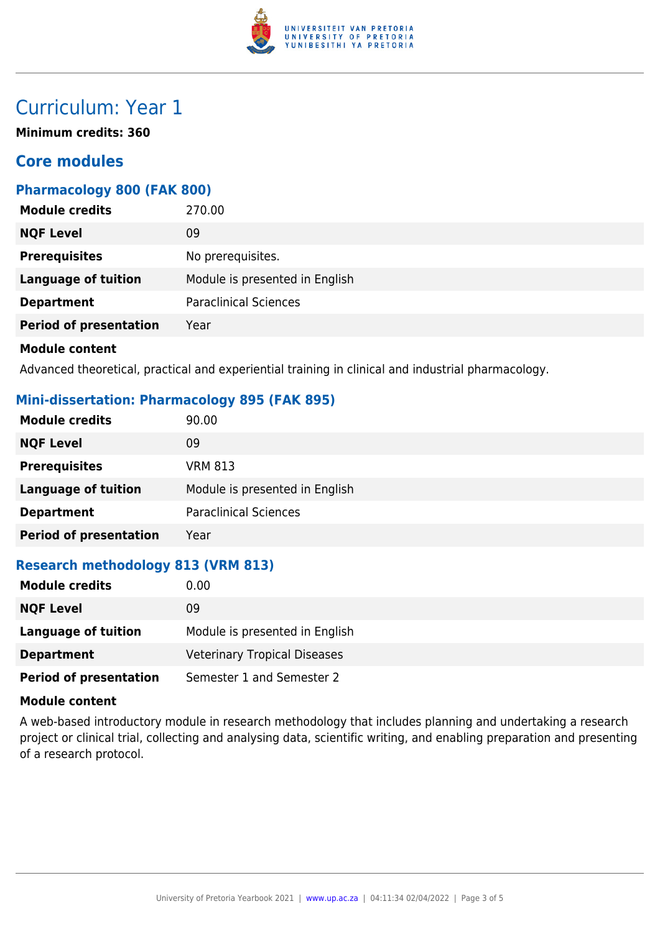

# Curriculum: Year 1

**Minimum credits: 360**

### **Core modules**

#### **Pharmacology 800 (FAK 800)**

| <b>Module credits</b>         | 270.00                         |
|-------------------------------|--------------------------------|
| <b>NQF Level</b>              | 09                             |
| <b>Prerequisites</b>          | No prerequisites.              |
| <b>Language of tuition</b>    | Module is presented in English |
| <b>Department</b>             | <b>Paraclinical Sciences</b>   |
| <b>Period of presentation</b> | Year                           |
|                               |                                |

#### **Module content**

Advanced theoretical, practical and experiential training in clinical and industrial pharmacology.

### **Mini-dissertation: Pharmacology 895 (FAK 895)**

| <b>Module credits</b>         | 90.00                          |
|-------------------------------|--------------------------------|
| <b>NQF Level</b>              | 09                             |
| <b>Prerequisites</b>          | <b>VRM 813</b>                 |
| <b>Language of tuition</b>    | Module is presented in English |
| <b>Department</b>             | <b>Paraclinical Sciences</b>   |
| <b>Period of presentation</b> | Year                           |

### **Research methodology 813 (VRM 813)**

| <b>Module credits</b>         | 0.00                                |
|-------------------------------|-------------------------------------|
| <b>NQF Level</b>              | 09                                  |
| Language of tuition           | Module is presented in English      |
| <b>Department</b>             | <b>Veterinary Tropical Diseases</b> |
| <b>Period of presentation</b> | Semester 1 and Semester 2           |

#### **Module content**

A web-based introductory module in research methodology that includes planning and undertaking a research project or clinical trial, collecting and analysing data, scientific writing, and enabling preparation and presenting of a research protocol.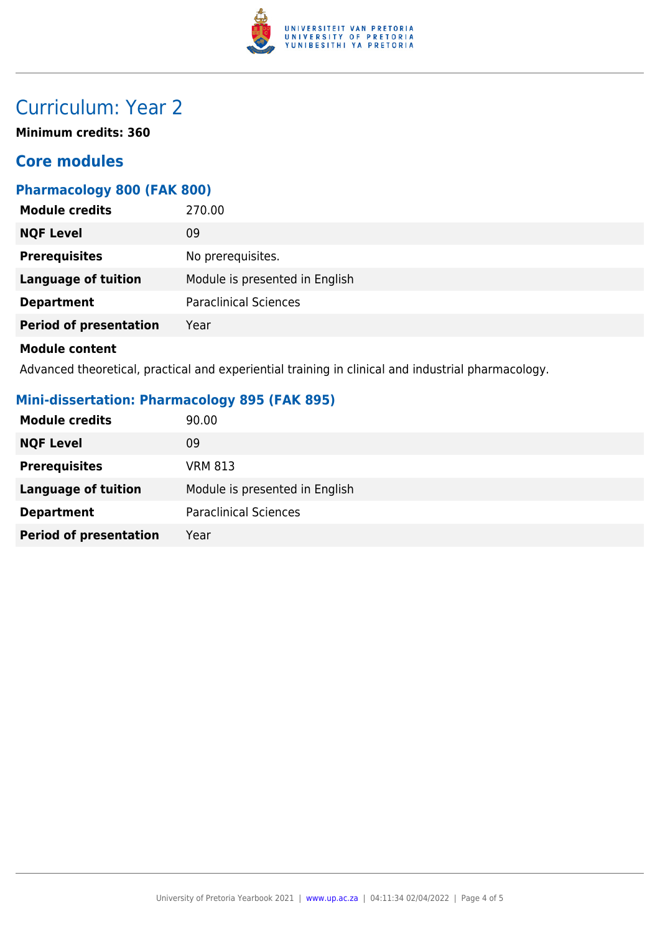

# Curriculum: Year 2

**Minimum credits: 360**

### **Core modules**

### **Pharmacology 800 (FAK 800)**

| <b>Module credits</b><br>270.00           |                                |
|-------------------------------------------|--------------------------------|
| <b>NQF Level</b><br>09                    |                                |
| <b>Prerequisites</b><br>No prerequisites. |                                |
| <b>Language of tuition</b>                | Module is presented in English |
| <b>Department</b>                         | <b>Paraclinical Sciences</b>   |
| <b>Period of presentation</b><br>Year     |                                |

#### **Module content**

Advanced theoretical, practical and experiential training in clinical and industrial pharmacology.

### **Mini-dissertation: Pharmacology 895 (FAK 895)**

| <b>Module credits</b>         | 90.00                          |
|-------------------------------|--------------------------------|
| <b>NQF Level</b>              | 09                             |
| <b>Prerequisites</b>          | <b>VRM 813</b>                 |
| <b>Language of tuition</b>    | Module is presented in English |
| <b>Department</b>             | <b>Paraclinical Sciences</b>   |
| <b>Period of presentation</b> | Year                           |